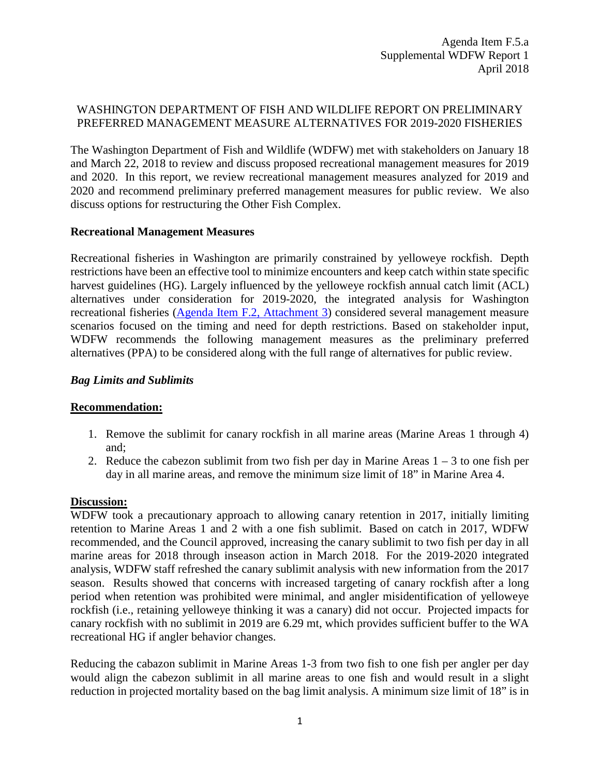# WASHINGTON DEPARTMENT OF FISH AND WILDLIFE REPORT ON PRELIMINARY PREFERRED MANAGEMENT MEASURE ALTERNATIVES FOR 2019-2020 FISHERIES

The Washington Department of Fish and Wildlife (WDFW) met with stakeholders on January 18 and March 22, 2018 to review and discuss proposed recreational management measures for 2019 and 2020. In this report, we review recreational management measures analyzed for 2019 and 2020 and recommend preliminary preferred management measures for public review. We also discuss options for restructuring the Other Fish Complex.

### **Recreational Management Measures**

Recreational fisheries in Washington are primarily constrained by yelloweye rockfish. Depth restrictions have been an effective tool to minimize encounters and keep catch within state specific harvest guidelines (HG). Largely influenced by the yelloweye rockfish annual catch limit (ACL) alternatives under consideration for 2019-2020, the integrated analysis for Washington recreational fisheries [\(Agenda Item F.2, Attachment 3\)](https://www.pcouncil.org/wp-content/uploads/2018/03/F2_Att3_Appdx_A_Integrated_Alternatives_Analysis_1804_Apr2018BB.pdf) considered several management measure scenarios focused on the timing and need for depth restrictions. Based on stakeholder input, WDFW recommends the following management measures as the preliminary preferred alternatives (PPA) to be considered along with the full range of alternatives for public review.

### *Bag Limits and Sublimits*

## **Recommendation:**

- 1. Remove the sublimit for canary rockfish in all marine areas (Marine Areas 1 through 4) and;
- 2. Reduce the cabezon sublimit from two fish per day in Marine Areas  $1 3$  to one fish per day in all marine areas, and remove the minimum size limit of 18" in Marine Area 4.

#### **Discussion:**

WDFW took a precautionary approach to allowing canary retention in 2017, initially limiting retention to Marine Areas 1 and 2 with a one fish sublimit. Based on catch in 2017, WDFW recommended, and the Council approved, increasing the canary sublimit to two fish per day in all marine areas for 2018 through inseason action in March 2018. For the 2019-2020 integrated analysis, WDFW staff refreshed the canary sublimit analysis with new information from the 2017 season. Results showed that concerns with increased targeting of canary rockfish after a long period when retention was prohibited were minimal, and angler misidentification of yelloweye rockfish (i.e., retaining yelloweye thinking it was a canary) did not occur. Projected impacts for canary rockfish with no sublimit in 2019 are 6.29 mt, which provides sufficient buffer to the WA recreational HG if angler behavior changes.

Reducing the cabazon sublimit in Marine Areas 1-3 from two fish to one fish per angler per day would align the cabezon sublimit in all marine areas to one fish and would result in a slight reduction in projected mortality based on the bag limit analysis. A minimum size limit of 18" is in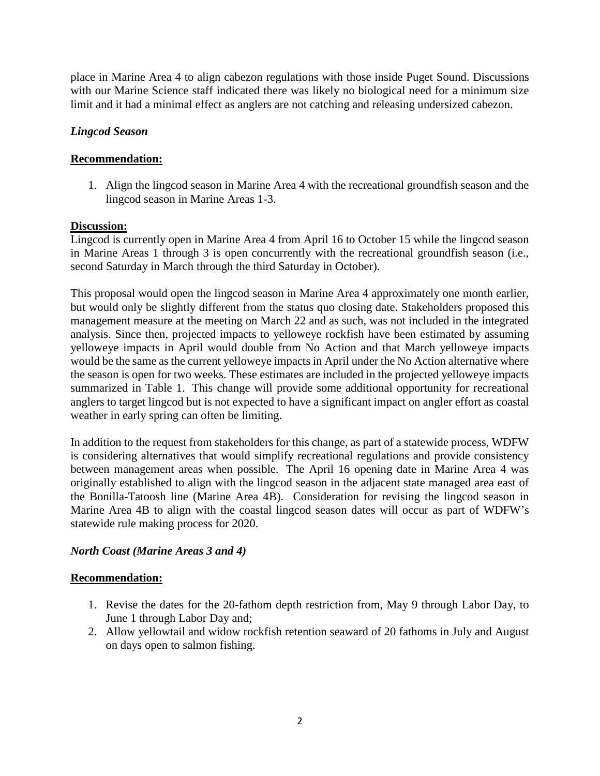place in Marine Area 4 to align cabezon regulations with those inside Puget Sound. Discussions with our Marine Science staff indicated there was likely no biological need for a minimum size limit and it had a minimal effect as anglers are not catching and releasing undersized cabezon.

## *Lingcod Season*

# **Recommendation:**

1. Align the lingcod season in Marine Area 4 with the recreational groundfish season and the lingcod season in Marine Areas 1-3.

## **Discussion:**

Lingcod is currently open in Marine Area 4 from April 16 to October 15 while the lingcod season in Marine Areas 1 through 3 is open concurrently with the recreational groundfish season (i.e., second Saturday in March through the third Saturday in October).

This proposal would open the lingcod season in Marine Area 4 approximately one month earlier, but would only be slightly different from the status quo closing date. Stakeholders proposed this management measure at the meeting on March 22 and as such, was not included in the integrated analysis. Since then, projected impacts to yelloweye rockfish have been estimated by assuming yelloweye impacts in April would double from No Action and that March yelloweye impacts would be the same as the current yelloweye impacts in April under the No Action alternative where the season is open for two weeks. These estimates are included in the projected yelloweye impacts summarized in Table 1. This change will provide some additional opportunity for recreational anglers to target lingcod but is not expected to have a significant impact on angler effort as coastal weather in early spring can often be limiting.

In addition to the request from stakeholders for this change, as part of a statewide process, WDFW is considering alternatives that would simplify recreational regulations and provide consistency between management areas when possible. The April 16 opening date in Marine Area 4 was originally established to align with the lingcod season in the adjacent state managed area east of the Bonilla-Tatoosh line (Marine Area 4B). Consideration for revising the lingcod season in Marine Area 4B to align with the coastal lingcod season dates will occur as part of WDFW's statewide rule making process for 2020.

## *North Coast (Marine Areas 3 and 4)*

## **Recommendation:**

- 1. Revise the dates for the 20-fathom depth restriction from, May 9 through Labor Day, to June 1 through Labor Day and;
- 2. Allow yellowtail and widow rockfish retention seaward of 20 fathoms in July and August on days open to salmon fishing.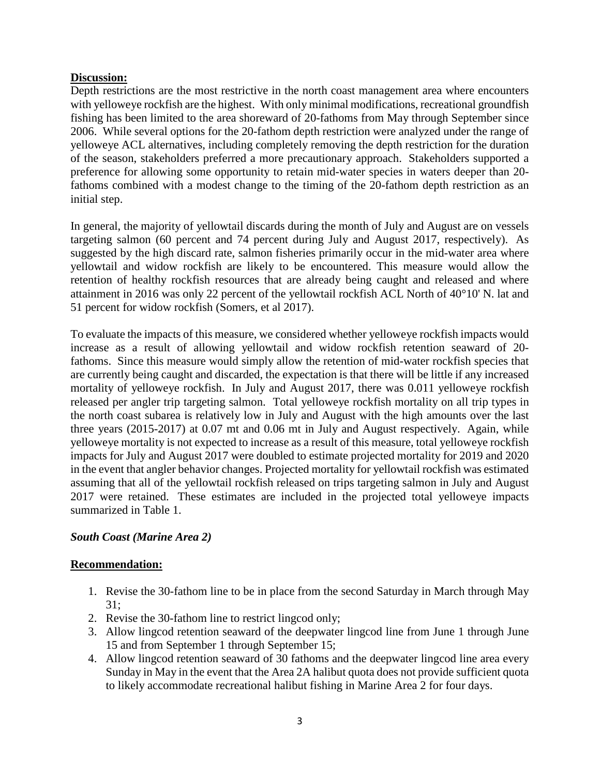### **Discussion:**

Depth restrictions are the most restrictive in the north coast management area where encounters with yelloweye rockfish are the highest. With only minimal modifications, recreational groundfish fishing has been limited to the area shoreward of 20-fathoms from May through September since 2006. While several options for the 20-fathom depth restriction were analyzed under the range of yelloweye ACL alternatives, including completely removing the depth restriction for the duration of the season, stakeholders preferred a more precautionary approach. Stakeholders supported a preference for allowing some opportunity to retain mid-water species in waters deeper than 20 fathoms combined with a modest change to the timing of the 20-fathom depth restriction as an initial step.

In general, the majority of yellowtail discards during the month of July and August are on vessels targeting salmon (60 percent and 74 percent during July and August 2017, respectively). As suggested by the high discard rate, salmon fisheries primarily occur in the mid-water area where yellowtail and widow rockfish are likely to be encountered. This measure would allow the retention of healthy rockfish resources that are already being caught and released and where attainment in 2016 was only 22 percent of the yellowtail rockfish ACL North of 40°10' N. lat and 51 percent for widow rockfish (Somers, et al 2017).

To evaluate the impacts of this measure, we considered whether yelloweye rockfish impacts would increase as a result of allowing yellowtail and widow rockfish retention seaward of 20 fathoms. Since this measure would simply allow the retention of mid-water rockfish species that are currently being caught and discarded, the expectation is that there will be little if any increased mortality of yelloweye rockfish. In July and August 2017, there was 0.011 yelloweye rockfish released per angler trip targeting salmon. Total yelloweye rockfish mortality on all trip types in the north coast subarea is relatively low in July and August with the high amounts over the last three years (2015-2017) at 0.07 mt and 0.06 mt in July and August respectively. Again, while yelloweye mortality is not expected to increase as a result of this measure, total yelloweye rockfish impacts for July and August 2017 were doubled to estimate projected mortality for 2019 and 2020 in the event that angler behavior changes. Projected mortality for yellowtail rockfish was estimated assuming that all of the yellowtail rockfish released on trips targeting salmon in July and August 2017 were retained. These estimates are included in the projected total yelloweye impacts summarized in Table 1.

## *South Coast (Marine Area 2)*

#### **Recommendation:**

- 1. Revise the 30-fathom line to be in place from the second Saturday in March through May 31;
- 2. Revise the 30-fathom line to restrict lingcod only;
- 3. Allow lingcod retention seaward of the deepwater lingcod line from June 1 through June 15 and from September 1 through September 15;
- 4. Allow lingcod retention seaward of 30 fathoms and the deepwater lingcod line area every Sunday in May in the event that the Area 2A halibut quota does not provide sufficient quota to likely accommodate recreational halibut fishing in Marine Area 2 for four days.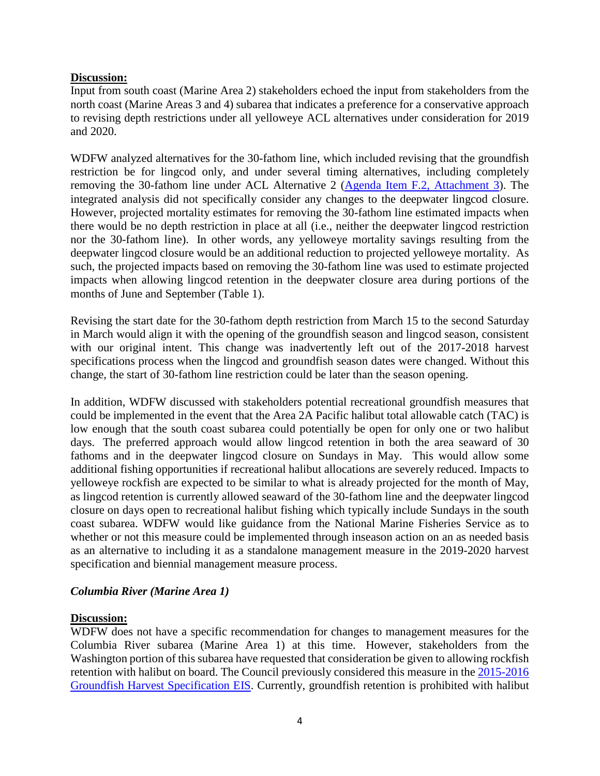#### **Discussion:**

Input from south coast (Marine Area 2) stakeholders echoed the input from stakeholders from the north coast (Marine Areas 3 and 4) subarea that indicates a preference for a conservative approach to revising depth restrictions under all yelloweye ACL alternatives under consideration for 2019 and 2020.

WDFW analyzed alternatives for the 30-fathom line, which included revising that the groundfish restriction be for lingcod only, and under several timing alternatives, including completely removing the 30-fathom line under ACL Alternative 2 [\(Agenda Item F.2, Attachment 3\)](https://www.pcouncil.org/wp-content/uploads/2018/03/F2_Att3_Appdx_A_Integrated_Alternatives_Analysis_1804_Apr2018BB.pdf). The integrated analysis did not specifically consider any changes to the deepwater lingcod closure. However, projected mortality estimates for removing the 30-fathom line estimated impacts when there would be no depth restriction in place at all (i.e., neither the deepwater lingcod restriction nor the 30-fathom line). In other words, any yelloweye mortality savings resulting from the deepwater lingcod closure would be an additional reduction to projected yelloweye mortality. As such, the projected impacts based on removing the 30-fathom line was used to estimate projected impacts when allowing lingcod retention in the deepwater closure area during portions of the months of June and September (Table 1).

Revising the start date for the 30-fathom depth restriction from March 15 to the second Saturday in March would align it with the opening of the groundfish season and lingcod season, consistent with our original intent. This change was inadvertently left out of the 2017-2018 harvest specifications process when the lingcod and groundfish season dates were changed. Without this change, the start of 30-fathom line restriction could be later than the season opening.

In addition, WDFW discussed with stakeholders potential recreational groundfish measures that could be implemented in the event that the Area 2A Pacific halibut total allowable catch (TAC) is low enough that the south coast subarea could potentially be open for only one or two halibut days. The preferred approach would allow lingcod retention in both the area seaward of 30 fathoms and in the deepwater lingcod closure on Sundays in May. This would allow some additional fishing opportunities if recreational halibut allocations are severely reduced. Impacts to yelloweye rockfish are expected to be similar to what is already projected for the month of May, as lingcod retention is currently allowed seaward of the 30-fathom line and the deepwater lingcod closure on days open to recreational halibut fishing which typically include Sundays in the south coast subarea. WDFW would like guidance from the National Marine Fisheries Service as to whether or not this measure could be implemented through inseason action on an as needed basis as an alternative to including it as a standalone management measure in the 2019-2020 harvest specification and biennial management measure process.

#### *Columbia River (Marine Area 1)*

## **Discussion:**

WDFW does not have a specific recommendation for changes to management measures for the Columbia River subarea (Marine Area 1) at this time. However, stakeholders from the Washington portion of this subarea have requested that consideration be given to allowing rockfish retention with halibut on board. The Council previously considered this measure in the [2015-2016](http://www.pcouncil.org/wp-content/uploads/GF15_16_SpexFEISJanuary2015.pdf)  [Groundfish Harvest Specification EIS.](http://www.pcouncil.org/wp-content/uploads/GF15_16_SpexFEISJanuary2015.pdf) Currently, groundfish retention is prohibited with halibut